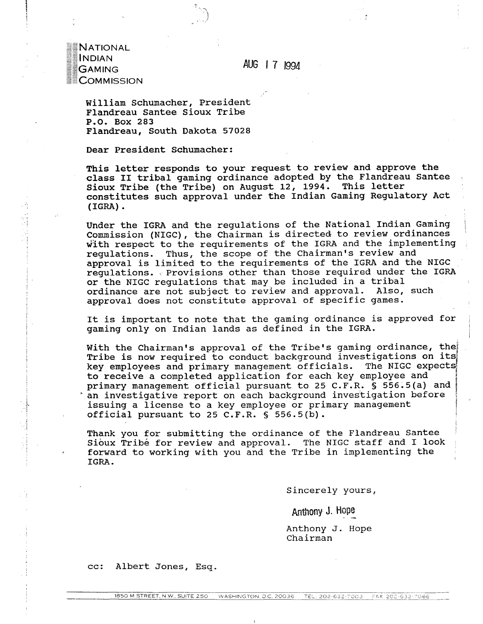**AUG** 1 7 199.4

NATIONAL INDIAN **GAMING** COMMISSION

> William Schumacher, President Flandreau Santee Sioux Tribe P.O. Box 283 Flandreau, South Dakota 57028

Dear President Schumacher:

This letter responds to your request to review and approve the class **I1** tribal gaming ordinance adopted by the Flandreau Santee Sioux Tribe (the Tribe) on August 12, 1994. This letter constitutes such approval under the Indian Gaming Regulatory Act (IGRA) .

Under the IGRA and the regulations of the National Indian Gaming <sup>1</sup> Commission (NIGC), the Chairman is directed to review ordinances with respect to the requirements of the IGRA and the implementing regulations. Thus, the scope of the Chairman's review and approval is limited to the requirements of the IGRA and the NIGC regulations. Provisions other than those required under the IGRA or the NIGC regulations that may be included in a tribal<br>ordinance are not subject to review and approval. Also, such ordinance are not subject to review and approval. approval does not constitute approval of specific games.

It is important to note that the gaming ordinance is approved for<br>gaming only on Indian lands as defined in the IGRA.

With the Chairman's approval of the Tribe's gaming ordinance, the<br>Tribe is now required to conduct background investigations on its key employees and primary management officials. The NIGC expects to receive a completed application for each key employee and *<sup>I</sup>* primary management official pursuant to 25 C.F.R. § 556.5(a) and an investigative report on each background investigation before issuing a license to a key employee or primary management official pursuant to 25 C.F.R. *5* 556.5(b). **I**<br>Internet

Thank you for submitting the ordinance of the Flandreau Santee Sioux Tribe for review and approval. The NIGC staff and I look forward to working with you and the Tribe in implementing the IGRA.

Sincerely yours,

I

**1** 

Anthony J. Hope

Anthony J. Hope Chairman

cc: Albert Jones, Esq.

. /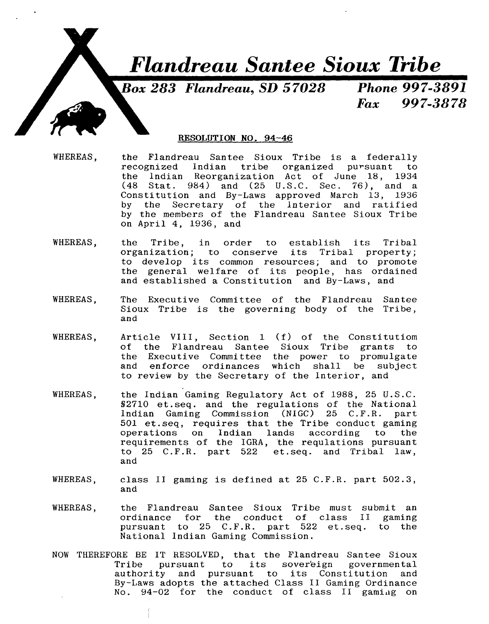

**Box 283 Flandreau, SD 57028 Phone 997-3891** 

997-3878  $\boldsymbol{F} \boldsymbol{\alpha} \boldsymbol{x}$ 

## RESOLUTION NO. 94-46

- WHEREAS, the Flandreau Santee Sioux Tribe is a federally recognized lndian tribe organized pursuant to the Indian Reorganization Act of June 18, 1934<br>(48 Stat. 984) and (25 U.S.C. Sec. 76), and a Stat.  $984)$  and  $(25 \text{ U.S.C.} \text{Sec. } 76)$ , and a Constitution and By-Laws approved March 13, 1936 by the Secretary of the lnterior and ratified by the members of the Flandreau Santee Sioux Tribe on April 4, 1936, and
- WHEREAS, the Tribe, in order to establish its Tribal organization; to conserve its Tribal property; to develop its common resources; and to promote the general welfare of its people, has ordained and established a Constitution and By-Laws, and
- WHEREAS, The Executive Committee of the Flandreau Santee Sioux Tribe is the governing body of the Tribe, and
- WHEREAS, Article VIII, Section 1 **(f)** of the Constitutiom of the Flandreau Santee Sioux Tribe grants to the Executive Committee the power to promulgate and enforce ordinances which shall be subject to review by the Secretary of the Interior, and
- WHEREAS, the Indian Gaming Regulatory Act of 1988, 25 U.S.C. 82710 et.seq. and the regulations of the National lndian Gaming Commission (NIGC) 25 C.F.R. part 501 et .seq, requires that the Tribe conduct gaming operations on Indian lands according to the requirements of the IGRA, the requlations pursuant to 25 C.F.R. part 522 et.seq. and Tribal law, and
- WHEREAS, class **11** gaming is defined at 25 C.F.R. part 502.3, and
- WHEREAS, the Flandreau Santee Sioux Tribe must submit an ordinance for the conduct of class I1 gaming pursuant to 25 C.F.R. part 522 et.seq. to the National Indian Gaming Commission.
- NOW THEREFORE BE IT RESOLVED, that the Flandreau Santee Sioux Tribe pursuant to its sover'eign governmental authority and pursuant to its Constitution and By-Laws adopts the attached Class I1 Gaming Ordinance No. 94-02 for the conduct of class II gaming on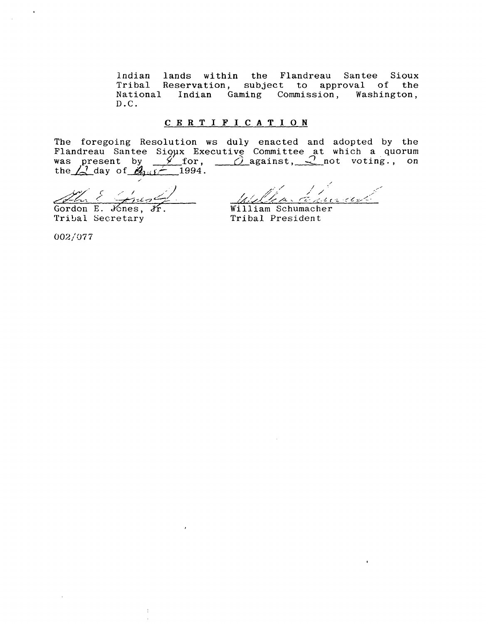lndian lands within the Flandreau Santee Sioux Tribal Reservation, subject to approval of the Indian Gaming Commission, Washington, D.C.

#### **CERTIFICATION**

The foregoing Resolution ws duly enacted and adopted by the Flandreau Santee Sioux Executive Committee at which a quorum The foregoing Resolution ws duly enacted and adopted by the Flandreau Santee Sioux Executive Committee at which a quorum was present by  $\frac{\cancel{\gamma}}{\sqrt{2}}$  for,  $\frac{\cancel{\gamma}}{\sqrt{2}}$  against,  $\frac{\cancel{\gamma}}{\sqrt{2}}$  not voting., on the  $\frac{1}{2$ 

Gordon E. Jones, Jr. William Schumacher<br>Tribal Secretary Tribal President

Tribal Secretary

'7- **2,** / // ,; /' / ,' 2 ,: *~TLCJ* 7- **,\$,~,cb,~** , T;:: **I<** ..- - **.L** .cz7;,<-

002/077

 $\ddot{\phantom{a}}$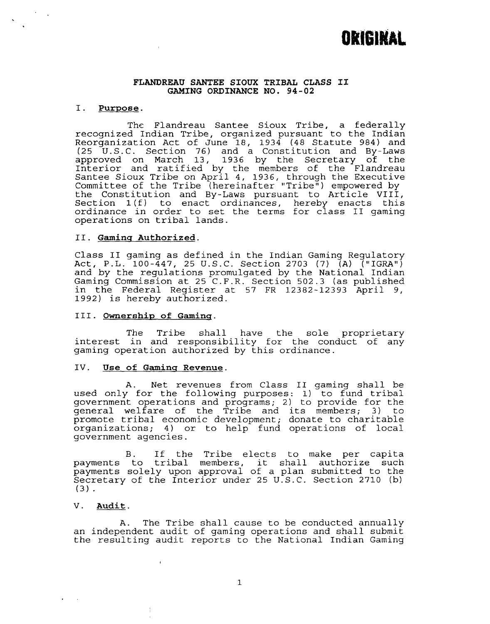# **ORIGINAL**

#### **FLANDREAU SANTEE SIOUX TRIBAL CLASS I1 GAMING ORDINANCE NO. 94-02**

#### I. **Purpose.**

The Flandreau Santee Sioux Tribe, a federally recognized Indian Tribe, organized pursuant to the Indian Reorganization Act of June 18, 1934 (48 Statute 984) and (25 U.S.C. Section 76) and a Constitution and By-Laws approved on March 13, 1936 by the Secretary of the Interior and ratified by the members of the Flandreau Santee Sioux Tribe on April 4, 1936, through the Executive Committee of the Tribe (hereinafter "Tribe") empowered by the Constitution and By-Laws pursuant to Article VIII, Section l(f) to enact ordinances, hereby enacts this ordinance in order to set the terms for class I1 gaming operations on tribal lands.

#### 11. **Gamins Authorized.**

Class I1 gaming as defined in the Indian Gaming Regulatory Act, P.L. 100-447, 25 U.S.C. Section 2703 (7) (A) ("IGRA") and by the regulations promulgated by the National Indian Gaming Commission at 25 C.F.R. Section 502.3 (as published in the Federal Register at 57 FR 12382-12393 April 9, 1992) is hereby authorized.

#### **111. Ownership of Gaming.**

The Tribe shall have the sole proprietary interest in and responsibility for the conduct of any gaming operation authorized by this ordinance.

#### IV. Use of Gaming Revenue.

A. Net revenues from Class I1 gaming shall be used only for the following purposes: **1)** to fund tribal government operations and programs; 2) to provide for the general welfare of the Tribe and its members; 3) to promote tribal economic development; donate to charitable organizations; 4) or to help fund operations of local government agencies.

B. If the Tribe elects to make per capita payments to tribal members, it shall authorize such payments solely upon approval of a plan submitted to the Secretary of the Interior under 25 U.S.C. Section 2710 (b)  $(3)$ .

#### V. **Audit.**

A. The Tribe shall cause to be conducted annually an independent audit of gaming operations and shall submit the resulting audit reports to the National Indian Gaming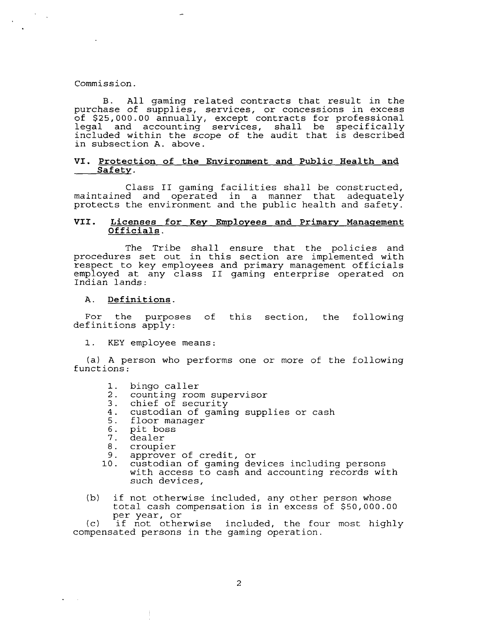#### Commission.

B. All gaming related contracts that result in the purchase of supplies, services, or concessions in excess of \$25,000.00 annually, except contracts for professional legal and accounting services, shall be specifically included within the scope of the audit that is described in subsection A. above.

#### **VI. Protection of the Environment and Public Health and Safety.**

Class I1 gaming facilities shall be constructed, maintained and operated in a manner that adequately protects the environment and the public health and safety.

#### **VII. Licenses for Key Employees and Primary Manaqement Officials.**

The Tribe shall ensure that the policies and procedures set out in this section are implemented with respect to key employees and primary management officials employed at any class **I1** gaming enterprise operated on Indian lands:

#### **A. Definitions.**

For the purposes of this section, the following definitions apply:

1. KEY employee means:

(a) A person who performs one or more of the following functions:

- $1.$ bingo caller
- $2.$ counting room supervisor
- chief of security  $3.$
- $4.$ custodian of gaming supplies or cash
- 5. floor manager
- 6. pit boss

Ť

- $7.$ dealer
- 8. croupier
- $9.$ approver of credit, or
- custodian of gaming devices including persons 10. with access to cash and accounting records with such devices,
- **(b)** if not otherwise included, any other person whose total cash compensation is in excess of \$50,000.00 per year, or

(c) if not otherwise included, the four most highly compensated persons in the gaming operation.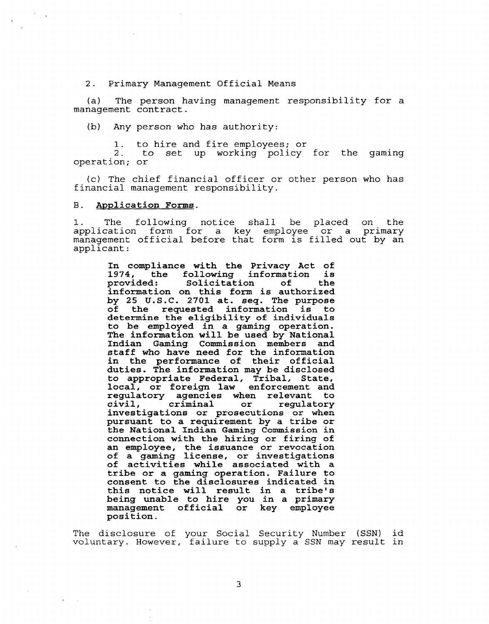2. Primary Management Official Means

(a) The person having management responsibility for a management contract.

**(b)** Any person who has authority:

1. to hire and fire employees; or

2. to set up working policy for the gaming operation; or

(c) The chief financial officer or other person who has financial management responsibility.

#### В. **Application Forms.**

1. The following notice shall be placed on the application form for a key employee or a primary management official before that form is filled out by an applicant:

**In compliance with the Privacy Act of 1974, the following information is Solicitation information on this form is authorized by 25 U.S.C. 2701 at. seq. The purpose of the requested information is to determine the eligibility of individuals to be employed in a gaming operation. The information will be used by National Indian Gaming Commission members and staff who have need for the information in the performance of their official duties. The information may be disclosed to appropriate Federal, Tribal, State, local, or foreign law enforcement and regulatory agencies when relevant to**  regulatory **investigations or prosecutions or when pursuant to a requirement by a tribe or the National Indian Gaming Commission in connection with the hiring or firing of an employee, the issuance or revocation of a gaming license, or investigations of activities while associated with a tribe or a gaming operation. Failure to consent to the disclosures indicated in this notice will result in a tribe's being unable to hire you in a primary management official or key employee position.** 

The disclosure of your Social Security Number (SSN) id voluntary. However, failure to supply a SSN may result in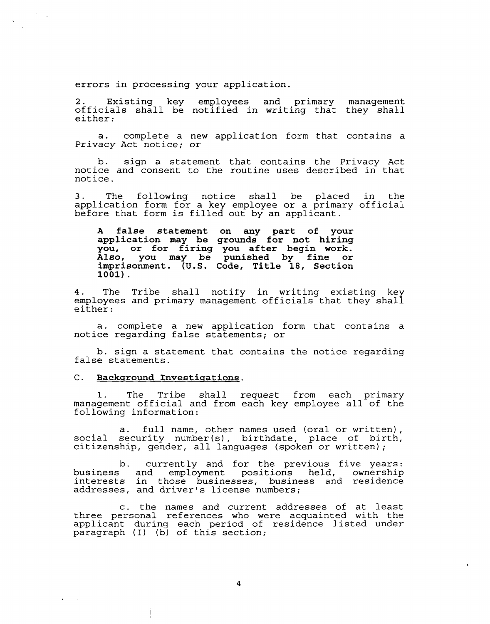errors in processing your application.

2. Existing key employees and primary management officials shall be notified in writing that they shall either:

a. complete a new application form that contains a Privacy Act notice; or

b. sign a statement that contains the Privacy Act notice and consent to the routine uses described in that notice.

3. The following notice shall be placed in the application form for a key employee or a primary official before that form is filled out by an applicant.

**A false statement on any part of your application may be grounds for not hiring you, or for firing you after begin work. Also, you may be punished by fine or imprisonment. (U.S. Code, Title 18, Section 1001).** 

4. The Tribe shall notify in writing existing key employees and primary management officials that they shall either:

a. complete a new application form that contains a notice regarding false statements; or

b. sign a statement that contains the notice regarding false statements.

#### **C.** Background Investigations.

1. The Tribe shall request from each primary management official and from each key employee all of the following information:

a. full name, other names used (oral or written), social security number(s), birthdate, place of birth, citizenship, gender, all languages (spoken or written);

b. currently and for the previous five years: business and employment positions held, ownership interests in those businesses, business and residence addresses, and driver's license numbers;

c. the names and current addresses of at least three personal references who were acquainted with the applicant during each period of residence listed under paragraph **(I)** (b) of this section;

 $\overline{4}$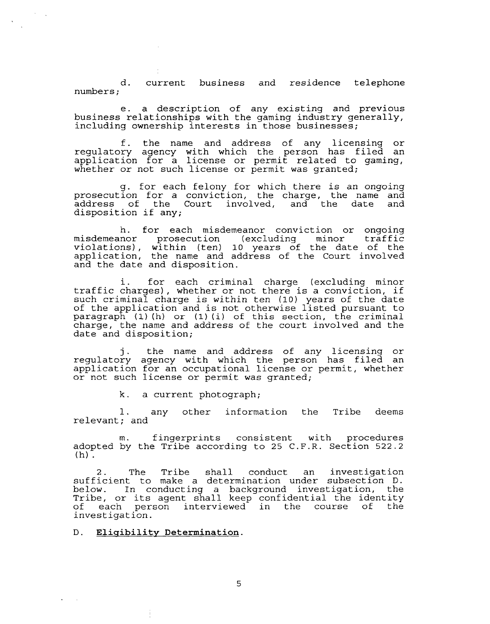d. current business and residence telephone numbers ;

e. a description of any existing and previous business relationships with the gaming industry generally, including ownership interests in those businesses;

f. the name and address of any licensing or regulatory agency with which the person has filed an application for a license or permit related to gaming, whether or not such license or permit was granted;

g. for each felony for which there is an ongoing prosecution for a conviction, the charge, the name and address of the Court involved, and the date and disposition if any;

h. for each misdemeanor conviction or ongoing misdemeanor prosecution (excluding minor traffic violations), within (ten) 10 years of the date of the application, the name and address of the Court involved and the date and disposition.

i. for each criminal charge (excluding minor traffic charges), whether or not there is a conviction, if such criminal charge is within ten (10) years of the date of the application and is not otherwise listed pursuant to paragraph **(1) (h)** or (1) **(i)** of this section, the criminal charge, the name and address of the court involved and the date and disposition;

j. the name and address of any licensing or regulatory agency with which the person has filed an application for an occupational license or permit, whether or not such license or permit was granted;

k. a current photograph;

1. any other information the Tribe deems relevant; and

m. fingerprints consistent with procedures adopted by the Tribe according to 25 C.F.R. Section 522.2  $(h)$ .

2. The Tribe shall conduct an investigation sufficient to make a determination under subsection D. below. In conducting a background investigation, the Tribe, or its agent shall keep confidential the identity of each person interviewed in the course of the investigation.

**Elisibility Determination.**  $D.$ 

5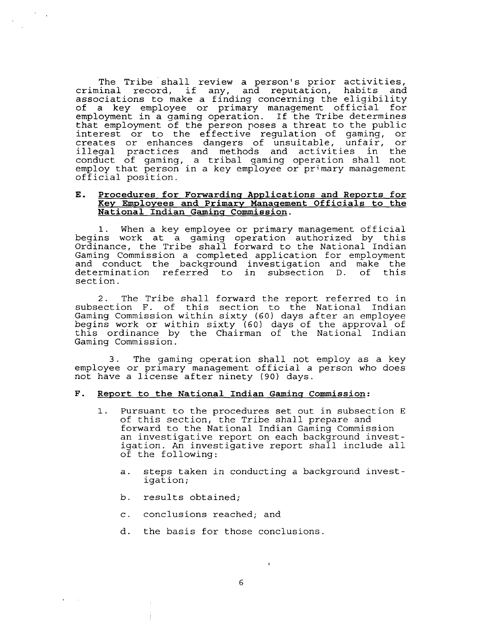The Tribe shall review a person's prior activities, criminal record, if any, and reputation, habits and associations to make a finding concerning the eligibility of a key employee or primary management official for employment in a gaming operation. If the Tribe determines that employment of the person poses a threat to the public interest or to the effective regulation of gaming, or creates or enhances dangers of unsuitable, unfair, or illegal practices and methods and activities in the conduct of gaming, a tribal gaming operation shall not employ that person in a key employee or primary management official position.

#### **E. Procedures for Forwardins Applications and Reports for Key Employees and Primary Manasement Officials to the National Indian Gamins Commission.**

1. When a key employee or primary management official begins work at a gaming operation authorized by this Ordinance, the Tribe shall forward to the National Indian Gaming Commission a completed application for employment and conduct the background investigation and make the determination referred to in subsection D. of sect ion.

2. The Tribe shall forward the report referred to in subsection F. of this section to the National Indian Gaming Commission within sixty (60) days after an employee begins work or within sixty (60) days of the approval of this ordinance by the Chairman of the National Indian Gaming Commission.

3. The gaming operation shall not employ as a key employee or primary management official a person who does not have a license after ninety (90) days.

#### **F. Report to the National Indian Gamins Commission:**

- 1. Pursuant to the procedures set out in subsection E of this section, the Tribe shall prepare and forward to the National Indian Gaming Commission an investigative report on each background investigation. An investigative report shall include all of the following:
	- a. steps taken in conducting a background investigation;

 $\mathbf{r}$ 

- b. results obtained;
- c. conclusions reached; and
- d. the basis for those conclusions.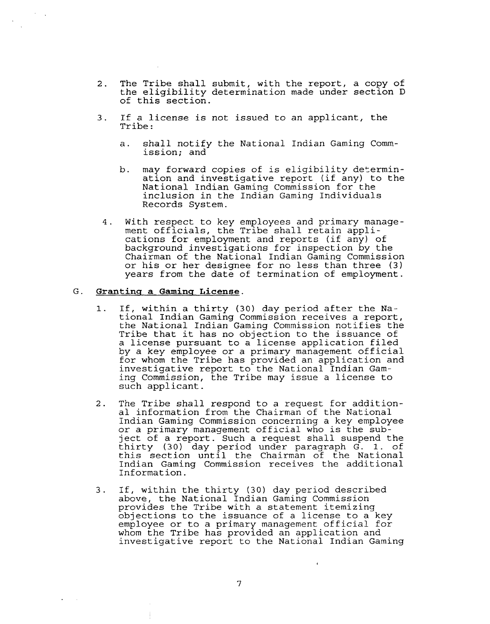- 2. The Tribe shall submit, with the report, a copy of the eligibility determination made under section D of this section.
- 3. If a license is not issued to an applicant, the Tribe :
	- a. shall notify the National Indian Gaming Commission; and
	- b. may forward copies of is eligibility determination and investigative report (if any) to the National Indian Gaming Commission for the inclusion in the Indian Gaming Individuals Records System.
- 4. With respect to key employees and primary management officials, the Tribe shall retain applications for employment and reports (if any) of background investigations for inspection by the Chairman of the National Indian Gaming Commission or his or her designee for no less than three **(3)**  years from the date of termination of employment.

# G. **Grantinq a Gaminq License.**

- If, within a thirty (30) day period after the Na- $1.$ tional Indian Gaming Commission receives a report, the National Indian Gaming Commission notifies the Tribe that it has no objection to the issuance of a license pursuant to a license application filed by a key employee or a primary management official for whom the Tribe has provided an application and investigative report to the National Indian Gaming Commission, the Tribe may issue a license to such applicant.
- 2. The Tribe shall respond to a request for additional information from the Chairman of the National Indian Gaming Commission concerning a key employee or a primary management official who is the subject of a report. Such a request shall suspend the thirty (30) day period under paragraph G. 1. of this section until the Chairman of the National Indian Gaming Commission receives the additional Information.
- 3. If, within the thirty (30) day period described above, the National Indian Gaming Commission provides the Tribe with a statement itemizing objections to the issuance of a license to a key employee or to a primary management official for whom the Tribe has provided an application and investigative report to the National Indian Gaming

7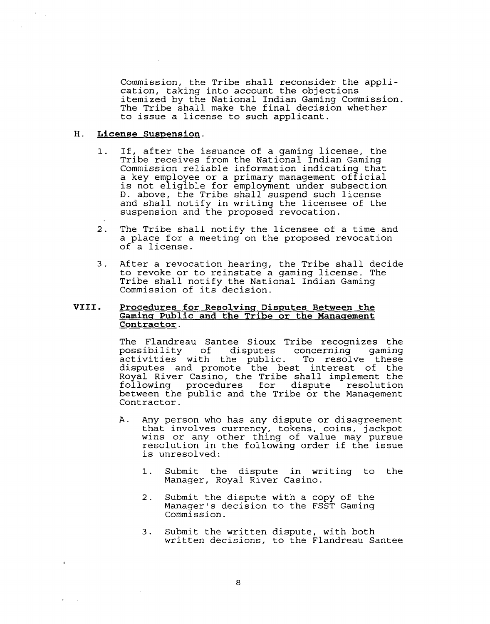Commission, the Tribe shall reconsider the application, taking into account the objections itemized by the National Indian Gaming Commission. The Tribe shall make the final decision whether to issue a license to such applicant.

#### **H. License Suspension.**

- If, after the issuance of a gaming license, the  $\mathbf{1}$ . Tribe receives from the National Indian Gaming Commission reliable information indicating that a key employee or a primary management official is not eligible for employment under subsection D. above, the Tribe shall suspend such license and shall notify in writing the licensee of the suspension and the proposed revocation.
- 2. The Tribe shall notify the licensee of a time and a place for a meeting on the proposed revocation of a license.
- 3. After a revocation hearing, the Tribe shall decide to revoke or to reinstate a gaming license. The Tribe shall notify the National Indian Gaming Commission of its decision.

#### VIII. Procedures for Resolving Disputes Between the Gaming Public and the Tribe or the Management **Contractor.**

The Flandreau Santee Sioux Tribe recognizes the<br>possibility of disputes concerning gaming disputes concerning gaming<br>he public. To resolve these activities with the public. disputes and promote the best interest of the Royal River Casino, the Tribe shall implement the following procedures for dispute resolution between the public and the Tribe or the Management Contractor.

- A. Any person who has any dispute or disagreement that involves currency, tokens, coins, jackpot wins or any other thing of value may pursue resolution in the following order if the issue is unresolved:
	- 1. Submit the dispute in writing to the Manager, Royal River Casino.
	- 2. Submit the dispute with a copy of the Manager's decision to the FSST Gaming Commission.
	- 3. Submit the written dispute, with both written decisions, to the Flandreau Santee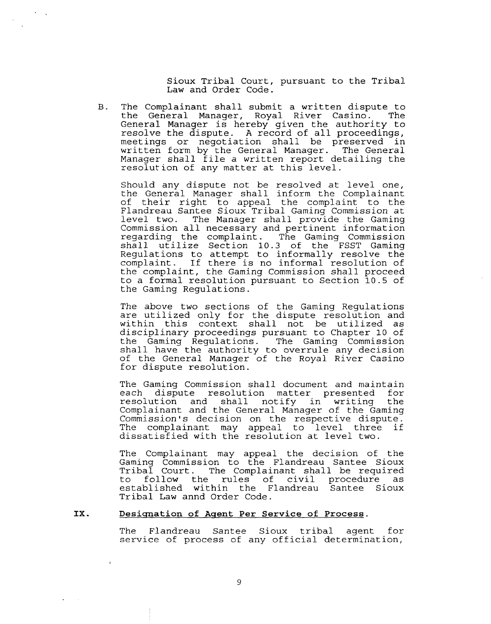Sioux Tribal Court, pursuant to the Tribal Law and Order Code.

B. The Complainant shall submit a written dispute to the General Manager, Royal River Casino. General Manager is hereby given the authority to resolve the dispute. A record of all proceedings, meetings or negotiation shall be preserved in written form by the General Manager. The General Manager shall file a written report detailing the resolution of any matter at this level.

Should any dispute not be resolved at level one, the General Manager shall inform the Complainant of their right to appeal the complaint to the Flandreau Santee Sioux Tribal Gaming Commission at level two. The Manager shall provide the Gaming Commission all necessary and pertinent information regarding the complaint. The Gaming Commission shall utilize Section 10.3 of the FSST Gaming Regulations to attempt to informally resolve the complaint. If there is no informal resolution of the complaint, the Gaming Commission shall proceed to a formal resolution pursuant to Section 10.5 of the Gaming Regulations.

The above two sections of the Gaming Regulations are utilized only for the dispute resolution and within this context shall not be utilized as disciplinary proceedings pursuant to Chapter 10 of the Gaming Regulations. The Gaming Commission shall have the authority to overrule any decision of the General Manager of the Royal River Casino for dispute resolution.

The Gaming Commission shall document and maintain<br>each dispute resolution matter presented for each dispute resolution matter presented for<br>resolution and shall notify in writing the notify in writing Complainant and the General Manager of the Gaming Commission's decision on the respective dispute. The complainant may appeal to level three if dissatisfied with the resolution at level two.

The Complainant may appeal the decision of the Gaming Commission to the Flandreau Santee Sioux Tribal Court. The Complainant shall be required to follow the rules of civil procedure as established within the Flandreau Santee Sioux Tribal Law annd Order Code.

#### IX. Designation of Agent Per Service of Process.

The Flandreau Santee Sioux tribal agent for service of process of any official determination,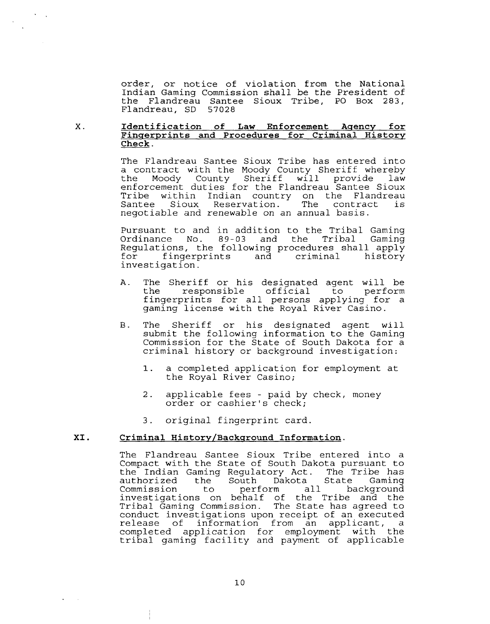order, or notice of violation from the National Indian Gaming Commission shall be the President of the Flandreau Santee Sioux Tribe, PO Box 283, Flandreau, SD 57028

#### $X$ . **Identification of Law Enforcement Aqencv for**  Fingerprints and Procedures for Criminal History **Check.**

The Flandreau Santee Sioux Tribe has entered into a contract with the Moody County Sheriff whereby the Moody County Sheriff will provide law enforcement duties for the Flandreau Santee Sioux Tribe within Indian country on the Flandreau Reservation. The Reservation. negotiable and renewable on an annual basis.

Pursuant to and in addition to the Tribal Gaming Ordinance No. 89-03 and the Tribal Gaminq Regulations, the following procedures shall apply<br>for fingerprints and criminal history fingerprints and investigation.

- A. The Sheriff or his designated agent will be the responsible official to perform fingerprints for all persons applying for a gaming license with the Royal River Casino.
- B. The Sheriff or his designated agent will submit the following information to the Gaming Commission for the State of South Dakota for a criminal history or background investigation:
	- **1.** a completed application for employment at the Royal River Casino;
	- 2. applicable fees paid by check, money order or cashier's check;
	- 3. original fingerprint card.

## **XI. Criminal History/Backqround Information.**

The Flandreau Santee Sioux Tribe entered into a Compact with the State of South Dakota pursuant to the Indian Gaming Regulatory Act. The Tribe has authorized the South Dakota State Gaming Commission investigations on behalf of the Tribe and the Tribal Gaming Commission. The State has agreed to conduct investigations upon receipt of an executed release of information from an applicant, a completed application for employment with the tribal gaming facility and payment of applicable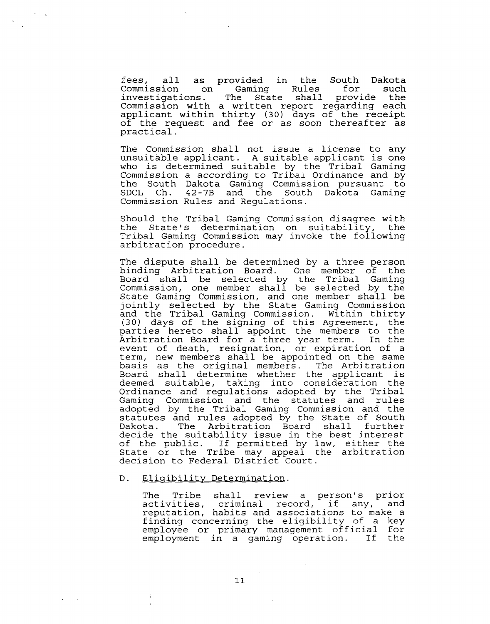fees, all as provided in the South Dakota Commission on Gaming Rules for investigations. The State shall provide the Commission with a written report regarding each applicant within thirty (30) days of the receipt of the request and fee or as soon thereafter as practical.

The Commission shall not issue a license to any unsuitable applicant. A suitable applicant is one who is determined suitable by the Tribal Gaming Commission a according to Tribal Ordinance and by the South Dakota Gaming Commission pursuant to<br>SDCL Ch. 42-7B and the South Dakota Gaming 42-7B and the South Dakota Gaming Commission Rules and Regulations.

Should the Tribal Gaming Commission disagree with the State's determination on suitability, the Tribal Gaming Commission may invoke the following arbitration procedure.

The dispute shall be determined by a three person binding Arbitration Board. One member of the Board shall be selected by the Tribal Gaming Commission, one member shall be selected by the State Gaming Commission, and one member shall be jointly selected by the State Gaming Commission and the Tribal Gaming Commission. Within thirty (30) days of the signing of this Agreement, the parties hereto shall appoint the members to the Arbitration Board for a three year term. In the event of death, resignation, or expiration of a term, new members shall be appointed on the same basis as the original members. The Arbitration Board shall determine whether the applicant is deemed suitable, taking into consideration the Ordinance and regulations adopted by the Tribal Gaming Commission and the statutes and rules adopted by the Tribal Gaming Commission and the statutes and rules adopted by the State of South<br>Dakota. The Arbitration Board shall further The Arbitration Board shall decide the suitability issue in the best interest of the public. If permitted by law, either the State or the Tribe may appeal the arbitration decision to Federal District Court.

#### D. Eligibility Determination.

The Tribe shall review a person's prior activities, criminal record, if any, and reputat ion, habits and associations to make a finding concerning the eligibility of a key employee or primary management official for employment in a gaming operation. If the